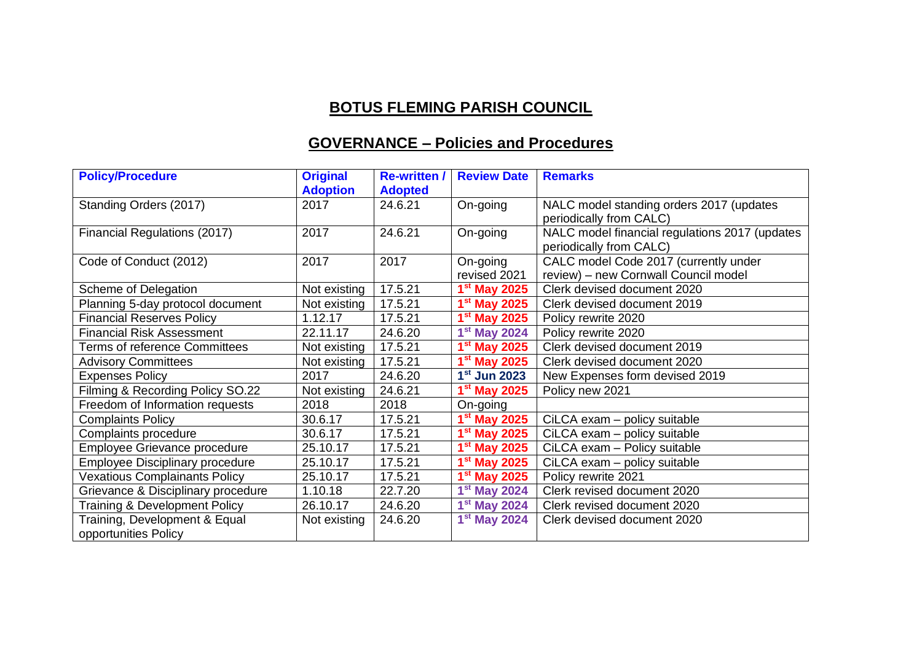## **BOTUS FLEMING PARISH COUNCIL**

## **GOVERNANCE – Policies and Procedures**

| <b>Policy/Procedure</b>                               | <b>Original</b><br><b>Adoption</b> | <b>Re-written /</b><br><b>Adopted</b> | <b>Review Date</b>       | <b>Remarks</b>                                                                |
|-------------------------------------------------------|------------------------------------|---------------------------------------|--------------------------|-------------------------------------------------------------------------------|
| Standing Orders (2017)                                | 2017                               | 24.6.21                               | On-going                 | NALC model standing orders 2017 (updates<br>periodically from CALC)           |
| Financial Regulations (2017)                          | 2017                               | 24.6.21                               | On-going                 | NALC model financial regulations 2017 (updates<br>periodically from CALC)     |
| Code of Conduct (2012)                                | 2017                               | 2017                                  | On-going<br>revised 2021 | CALC model Code 2017 (currently under<br>review) - new Cornwall Council model |
| Scheme of Delegation                                  | Not existing                       | 17.5.21                               | $1st$ May 2025           | Clerk devised document 2020                                                   |
| Planning 5-day protocol document                      | Not existing                       | 17.5.21                               | $1st$ May 2025           | Clerk devised document 2019                                                   |
| <b>Financial Reserves Policy</b>                      | 1.12.17                            | 17.5.21                               | $1st$ May 2025           | Policy rewrite 2020                                                           |
| <b>Financial Risk Assessment</b>                      | 22.11.17                           | 24.6.20                               | $1st$ May 2024           | Policy rewrite 2020                                                           |
| <b>Terms of reference Committees</b>                  | Not existing                       | 17.5.21                               | $1st$ May 2025           | Clerk devised document 2019                                                   |
| <b>Advisory Committees</b>                            | Not existing                       | 17.5.21                               | $1st$ May 2025           | Clerk devised document 2020                                                   |
| <b>Expenses Policy</b>                                | 2017                               | 24.6.20                               | 1 <sup>st</sup> Jun 2023 | New Expenses form devised 2019                                                |
| Filming & Recording Policy SO.22                      | Not existing                       | 24.6.21                               | $1st$ May 2025           | Policy new 2021                                                               |
| Freedom of Information requests                       | 2018                               | 2018                                  | On-going                 |                                                                               |
| <b>Complaints Policy</b>                              | 30.6.17                            | 17.5.21                               | $1st$ May 2025           | CiLCA exam - policy suitable                                                  |
| Complaints procedure                                  | 30.6.17                            | 17.5.21                               | $1st$ May 2025           | CiLCA exam - policy suitable                                                  |
| Employee Grievance procedure                          | 25.10.17                           | 17.5.21                               | $1st$ May 2025           | CiLCA exam - Policy suitable                                                  |
| <b>Employee Disciplinary procedure</b>                | 25.10.17                           | 17.5.21                               | $1st$ May 2025           | CiLCA exam - policy suitable                                                  |
| <b>Vexatious Complainants Policy</b>                  | 25.10.17                           | 17.5.21                               | $1st$ May 2025           | Policy rewrite 2021                                                           |
| Grievance & Disciplinary procedure                    | 1.10.18                            | 22.7.20                               | $1st$ May 2024           | Clerk revised document 2020                                                   |
| <b>Training &amp; Development Policy</b>              | 26.10.17                           | 24.6.20                               | $1st$ May 2024           | Clerk revised document 2020                                                   |
| Training, Development & Equal<br>opportunities Policy | Not existing                       | 24.6.20                               | $1st$ May 2024           | Clerk devised document 2020                                                   |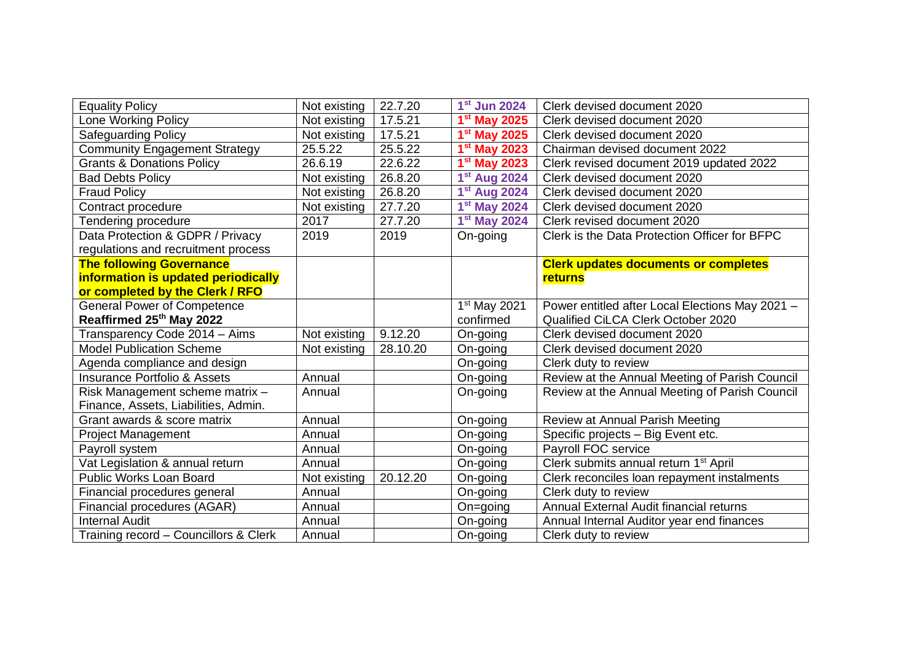| <b>Equality Policy</b>                  | Not existing | 22.7.20  | $1st$ Jun 2024           | Clerk devised document 2020                       |
|-----------------------------------------|--------------|----------|--------------------------|---------------------------------------------------|
| <b>Lone Working Policy</b>              | Not existing | 17.5.21  | $1st$ May 2025           | Clerk devised document 2020                       |
| <b>Safeguarding Policy</b>              | Not existing | 17.5.21  | $1st$ May 2025           | Clerk devised document 2020                       |
| <b>Community Engagement Strategy</b>    | 25.5.22      | 25.5.22  | 1 <sup>st</sup> May 2023 | Chairman devised document 2022                    |
| <b>Grants &amp; Donations Policy</b>    | 26.6.19      | 22.6.22  | $1st$ May 2023           | Clerk revised document 2019 updated 2022          |
| <b>Bad Debts Policy</b>                 | Not existing | 26.8.20  | 1 <sup>st</sup> Aug 2024 | Clerk devised document 2020                       |
| <b>Fraud Policy</b>                     | Not existing | 26.8.20  | 1 <sup>st</sup> Aug 2024 | Clerk devised document 2020                       |
| Contract procedure                      | Not existing | 27.7.20  | $1st$ May 2024           | Clerk devised document 2020                       |
| Tendering procedure                     | 2017         | 27.7.20  | $1st$ May 2024           | Clerk revised document 2020                       |
| Data Protection & GDPR / Privacy        | 2019         | 2019     | On-going                 | Clerk is the Data Protection Officer for BFPC     |
| regulations and recruitment process     |              |          |                          |                                                   |
| <b>The following Governance</b>         |              |          |                          | <b>Clerk updates documents or completes</b>       |
| information is updated periodically     |              |          |                          | returns                                           |
| or completed by the Clerk / RFO         |              |          |                          |                                                   |
| <b>General Power of Competence</b>      |              |          | 1 <sup>st</sup> May 2021 | Power entitled after Local Elections May 2021 -   |
| Reaffirmed 25 <sup>th</sup> May 2022    |              |          | confirmed                | Qualified CiLCA Clerk October 2020                |
| Transparency Code 2014 - Aims           | Not existing | 9.12.20  | On-going                 | Clerk devised document 2020                       |
| <b>Model Publication Scheme</b>         | Not existing | 28.10.20 | On-going                 | Clerk devised document 2020                       |
| Agenda compliance and design            |              |          | On-going                 | Clerk duty to review                              |
| <b>Insurance Portfolio &amp; Assets</b> | Annual       |          | On-going                 | Review at the Annual Meeting of Parish Council    |
| Risk Management scheme matrix -         | Annual       |          | On-going                 | Review at the Annual Meeting of Parish Council    |
| Finance, Assets, Liabilities, Admin.    |              |          |                          |                                                   |
| Grant awards & score matrix             | Annual       |          | On-going                 | Review at Annual Parish Meeting                   |
| Project Management                      | Annual       |          | On-going                 | Specific projects - Big Event etc.                |
| Payroll system                          | Annual       |          | On-going                 | Payroll FOC service                               |
| Vat Legislation & annual return         | Annual       |          | On-going                 | Clerk submits annual return 1 <sup>st</sup> April |
| <b>Public Works Loan Board</b>          | Not existing | 20.12.20 | On-going                 | Clerk reconciles loan repayment instalments       |
| Financial procedures general            | Annual       |          | On-going                 | Clerk duty to review                              |
| Financial procedures (AGAR)             | Annual       |          | On=going                 | Annual External Audit financial returns           |
| <b>Internal Audit</b>                   | Annual       |          | On-going                 | Annual Internal Auditor year end finances         |
| Training record - Councillors & Clerk   | Annual       |          | On-going                 | Clerk duty to review                              |